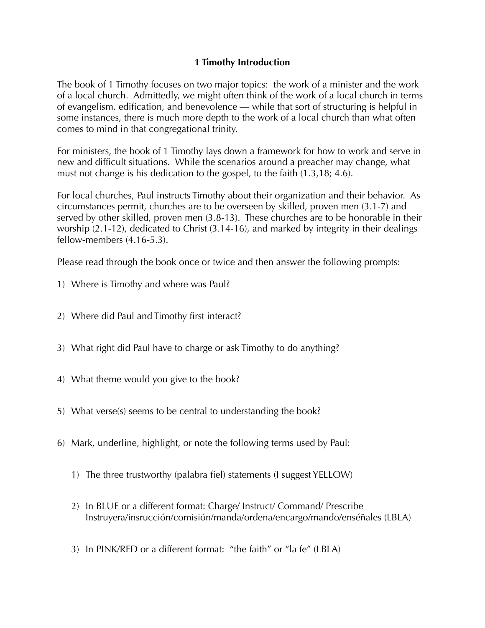## **1 Timothy Introduction**

The book of 1 Timothy focuses on two major topics: the work of a minister and the work of a local church. Admittedly, we might often think of the work of a local church in terms of evangelism, edification, and benevolence — while that sort of structuring is helpful in some instances, there is much more depth to the work of a local church than what often comes to mind in that congregational trinity.

For ministers, the book of 1 Timothy lays down a framework for how to work and serve in new and difficult situations. While the scenarios around a preacher may change, what must not change is his dedication to the gospel, to the faith (1.3,18; 4.6).

For local churches, Paul instructs Timothy about their organization and their behavior. As circumstances permit, churches are to be overseen by skilled, proven men (3.1-7) and served by other skilled, proven men (3.8-13). These churches are to be honorable in their worship (2.1-12), dedicated to Christ (3.14-16), and marked by integrity in their dealings fellow-members (4.16-5.3).

Please read through the book once or twice and then answer the following prompts:

- 1) Where is Timothy and where was Paul?
- 2) Where did Paul and Timothy first interact?
- 3) What right did Paul have to charge or ask Timothy to do anything?
- 4) What theme would you give to the book?
- 5) What verse(s) seems to be central to understanding the book?
- 6) Mark, underline, highlight, or note the following terms used by Paul:
	- 1) The three trustworthy (palabra fiel) statements (I suggest YELLOW)
	- 2) In BLUE or a different format: Charge/ Instruct/ Command/ Prescribe Instruyera/insrucción/comisión/manda/ordena/encargo/mando/enséñales (LBLA)
	- 3) In PINK/RED or a different format: "the faith" or "la fe" (LBLA)